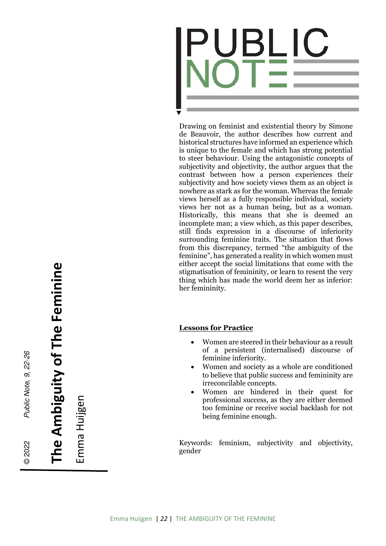

Drawing on feminist and existential theory by Simone de Beauvoir, the author describes how current and historical structures have informed an experience which is unique to the female and which has strong potential to steer behaviour. Using the antagonistic concepts of subjectivity and objectivity, the author argues that the contrast between how a person experiences their subjectivity and how society views them as an object is nowhere as stark as for the woman. Whereas the female views herself as a fully responsible individual, society views her not as a human being, but as a woman. Historically, this means that she is deemed an incomplete man; a view which, as this paper describes, still finds expression in a discourse of inferiority surrounding feminine traits. The situation that flows from this discrepancy, termed "the ambiguity of the feminine", has generated a reality in which women must either accept the social limitations that come with the stigmatisation of femininity, or learn to resent the very thing which has made the world deem her as inferior: her femininity.

## **Lessons for Practice**

- Women are steered in their behaviour as a result of a persistent (internalised) discourse of feminine inferiority.
- Women and society as a whole are conditioned to believe that public success and femininity are irreconcilable concepts.
- Women are hindered in their quest for professional success, as they are either deemed too feminine or receive social backlash for not being feminine enough.

Keywords: feminism, subjectivity and objectivity, gender

**The Ambiguity of The Feminine**  The Ambiguity of The Feminine

© 2022

Public Note, 9, 22-26

Public Note, 9, 22-26

Emma Huijgen Emma Huijgen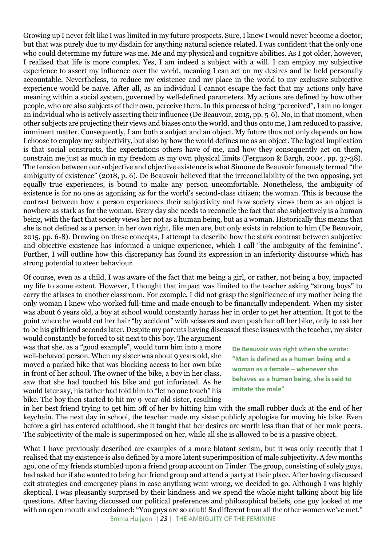Growing up I never felt like I was limited in my future prospects. Sure, I knew I would never become a doctor, but that was purely due to my disdain for anything natural science related. I was confident that the only one who could determine my future was me. Me and my physical and cognitive abilities. As I got older, however, I realised that life is more complex. Yes, I am indeed a subject with a will. I can employ my subjective experience to assert my influence over the world, meaning I can act on my desires and be held personally accountable. Nevertheless, to reduce my existence and my place in the world to my exclusive subjective experience would be naïve. After all, as an individual I cannot escape the fact that my actions only have meaning within a social system, governed by well-defined parameters. My actions are defined by how other people, who are also subjects of their own, perceive them. In this process of being "perceived", I am no longer an individual who is actively asserting their influence (De Beauvoir, 2015, pp. 5-6). No, in that moment, when other subjects are projecting their views and biases onto the world, and thus onto me, I am reduced to passive, imminent matter. Consequently, I am both a subject and an object. My future thus not only depends on how I choose to employ my subjectivity, but also by how the world defines me as an object. The logical implication is that social constructs, the expectations others have of me, and how they consequently act on them, constrain me just as much in my freedom as my own physical limits (Ferguson & Bargh, 2004, pp. 37-38). The tension between our subjective and objective existence is what Simone de Beauvoir famously termed "the ambiguity of existence" (2018, p. 6). De Beauvoir believed that the irreconcilability of the two opposing, yet equally true experiences, is bound to make any person uncomfortable. Nonetheless, the ambiguity of existence is for no one as agonising as for the world's second-class citizen; the woman. This is because the contrast between how a person experiences their subjectivity and how society views them as an object is nowhere as stark as for the woman. Every day she needs to reconcile the fact that she subjectively is a human being, with the fact that society views her not as a human being, but as a woman. Historically this means that she is not defined as a person in her own right, like men are, but only exists in relation to him (De Beauvoir, 2015, pp. 6-8). Drawing on these concepts, I attempt to describe how the stark contrast between subjective and objective existence has informed a unique experience, which I call "the ambiguity of the feminine". Further, I will outline how this discrepancy has found its expression in an inferiority discourse which has strong potential to steer behaviour.

Of course, even as a child, I was aware of the fact that me being a girl, or rather, not being a boy, impacted my life to some extent. However, I thought that impact was limited to the teacher asking "strong boys" to carry the atlases to another classroom. For example, I did not grasp the significance of my mother being the only woman I knew who worked full-time and made enough to be financially independent. When my sister was about 6 years old, a boy at school would constantly harass her in order to get her attention. It got to the point where he would cut her hair "by accident" with scissors and even push her off her bike, only to ask her to be his girlfriend seconds later. Despite my parents having discussed these issues with the teacher, my sister would constantly be forced to sit next to this boy. The argument

was that she, as a "good example", would turn him into a more well-behaved person. When my sister was about 9 years old, she moved a parked bike that was blocking access to her own bike in front of her school. The owner of the bike, a boy in her class, saw that she had touched his bike and got infuriated. As he would later say, his father had told him to "let no one touch" his bike. The boy then started to hit my 9-year-old sister, resulting

**De Beauvoir was right when she wrote: "Man is defined as a human being and a woman as a female – whenever she behaves as a human being, she is said to imitate the male"**

in her best friend trying to get him off of her by hitting him with the small rubber duck at the end of her keychain. The next day in school, the teacher made my sister publicly apologise for moving his bike. Even before a girl has entered adulthood, she it taught that her desires are worth less than that of her male peers. The subjectivity of the male is superimposed on her, while all she is allowed to be is a passive object.

Emma Huijgen | *23* | THE AMBIGUITY OF THE FEMININE What I have previously described are examples of a more blatant sexism, but it was only recently that I realised that my existence is also defined by a more latent superimposition of male subjectivity. A few months ago, one of my friends stumbled upon a friend group account on Tinder. The group, consisting of solely guys, had asked her if she wanted to bring her friend group and attend a party at their place. After having discussed exit strategies and emergency plans in case anything went wrong, we decided to go. Although I was highly skeptical, I was pleasantly surprised by their kindness and we spend the whole night talking about big life questions. After having discussed our political preferences and philosophical beliefs, one guy looked at me with an open mouth and exclaimed: "You guys are so adult! So different from all the other women we've met."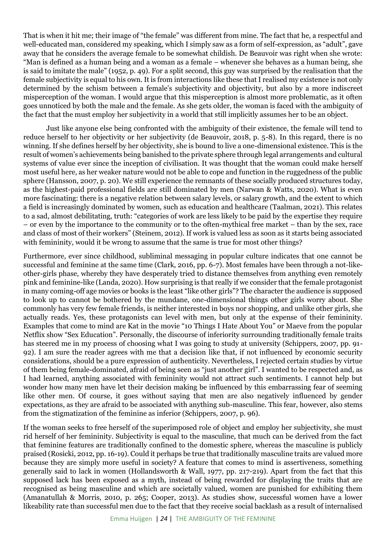That is when it hit me; their image of "the female" was different from mine. The fact that he, a respectful and well-educated man, considered my speaking, which I simply saw as a form of self-expression, as "adult", gave away that he considers the average female to be somewhat childish. De Beauvoir was right when she wrote: "Man is defined as a human being and a woman as a female – whenever she behaves as a human being, she is said to imitate the male" (1952, p. 49). For a split second, this guy was surprised by the realisation that the female subjectivity is equal to his own. It is from interactions like these that I realised my existence is not only determined by the schism between a female's subjectivity and objectivity, but also by a more indiscreet misperception of the woman. I would argue that this misperception is almost more problematic, as it often goes unnoticed by both the male and the female. As she gets older, the woman is faced with the ambiguity of the fact that the must employ her subjectivity in a world that still implicitly assumes her to be an object.

Just like anyone else being confronted with the ambiguity of their existence, the female will tend to reduce herself to her objectivity or her subjectivity (de Beauvoir, 2018, p. 5-8). In this regard, there is no winning. If she defines herself by her objectivity, she is bound to live a one-dimensional existence. This is the result of women's achievements being banished to the private sphere through legal arrangements and cultural systems of value ever since the inception of civilisation. It was thought that the woman could make herself most useful here, as her weaker nature would not be able to cope and function in the ruggedness of the public sphere (Hansson, 2007, p. 20). We still experience the remnants of these socially produced structures today, as the highest-paid professional fields are still dominated by men (Narwan & Watts, 2020). What is even more fascinating: there is a negative relation between salary levels, or salary growth, and the extent to which a field is increasingly dominated by women, such as education and healthcare (Taalman, 2021). This relates to a sad, almost debilitating, truth: "categories of work are less likely to be paid by the expertise they require – or even by the importance to the community or to the often-mythical free market – than by the sex, race and class of most of their workers" (Steinem, 2012). If work is valued less as soon as it starts being associated with femininity, would it be wrong to assume that the same is true for most other things?

Furthermore, ever since childhood, subliminal messaging in popular culture indicates that one cannot be successful and feminine at the same time (Clark, 2016, pp. 6-7). Most females have been through a not-likeother-girls phase, whereby they have desperately tried to distance themselves from anything even remotely pink and feminine-like (Landa, 2020). How surprising is that really if we consider that the female protagonist in many coming-off age movies or books is the least "like other girls"? The character the audience is supposed to look up to cannot be bothered by the mundane, one-dimensional things other girls worry about. She commonly has very few female friends, is neither interested in boys nor shopping, and unlike other girls, she actually reads. Yes, these protagonists can level with men, but only at the expense of their femininity. Examples that come to mind are Kat in the movie "10 Things I Hate About You" or Maeve from the popular Netflix show "Sex Education". Personally, the discourse of inferiority surrounding traditionally female traits has steered me in my process of choosing what I was going to study at university (Schippers, 2007, pp. 91- 92). I am sure the reader agrees with me that a decision like that, if not influenced by economic security considerations, should be a pure expression of authenticity. Nevertheless, I rejected certain studies by virtue of them being female-dominated, afraid of being seen as "just another girl". I wanted to be respected and, as I had learned, anything associated with femininity would not attract such sentiments. I cannot help but wonder how many men have let their decision making be influenced by this embarrassing fear of seeming like other men. Of course, it goes without saying that men are also negatively influenced by gender expectations, as they are afraid to be associated with anything sub-masculine. This fear, however, also stems from the stigmatization of the feminine as inferior (Schippers, 2007, p. 96).

If the woman seeks to free herself of the superimposed role of object and employ her subjectivity, she must rid herself of her femininity. Subjectivity is equal to the masculine, that much can be derived from the fact that feminine features are traditionally confined to the domestic sphere, whereas the masculine is publicly praised (Rosicki, 2012, pp. 16-19). Could it perhaps be true that traditionally masculine traits are valued more because they are simply more useful in society? A feature that comes to mind is assertiveness, something generally said to lack in women (Hollandsworth & Wall, 1977, pp. 217-219). Apart from the fact that this supposed lack has been exposed as a myth, instead of being rewarded for displaying the traits that are recognised as being masculine and which are societally valued, women are punished for exhibiting them (Amanatullah & Morris, 2010, p. 265; Cooper, 2013). As studies show, successful women have a lower likeability rate than successful men due to the fact that they receive social backlash as a result of internalised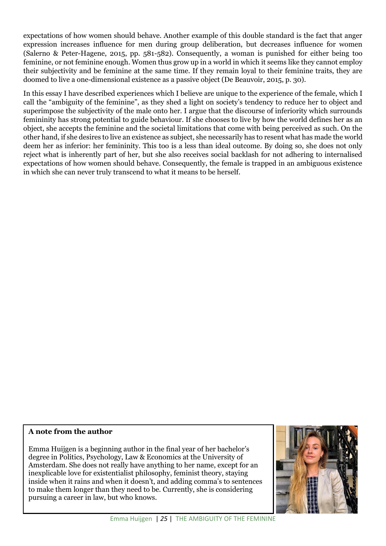expectations of how women should behave. Another example of this double standard is the fact that anger expression increases influence for men during group deliberation, but decreases influence for women (Salerno & Peter-Hagene, 2015, pp. 581-582). Consequently, a woman is punished for either being too feminine, or not feminine enough. Women thus grow up in a world in which it seems like they cannot employ their subjectivity and be feminine at the same time. If they remain loyal to their feminine traits, they are doomed to live a one-dimensional existence as a passive object (De Beauvoir, 2015, p. 30).

In this essay I have described experiences which I believe are unique to the experience of the female, which I call the "ambiguity of the feminine", as they shed a light on society's tendency to reduce her to object and superimpose the subjectivity of the male onto her. I argue that the discourse of inferiority which surrounds femininity has strong potential to guide behaviour. If she chooses to live by how the world defines her as an object, she accepts the feminine and the societal limitations that come with being perceived as such. On the other hand, if she desires to live an existence as subject, she necessarily has to resent what has made the world deem her as inferior: her femininity. This too is a less than ideal outcome. By doing so, she does not only reject what is inherently part of her, but she also receives social backlash for not adhering to internalised expectations of how women should behave. Consequently, the female is trapped in an ambiguous existence in which she can never truly transcend to what it means to be herself.

## **A note from the author**

Emma Huijgen is a beginning author in the final year of her bachelor's degree in Politics, Psychology, Law & Economics at the University of Amsterdam. She does not really have anything to her name, except for an inexplicable love for existentialist philosophy, feminist theory, staying inside when it rains and when it doesn't, and adding comma's to sentences to make them longer than they need to be. Currently, she is considering pursuing a career in law, but who knows.